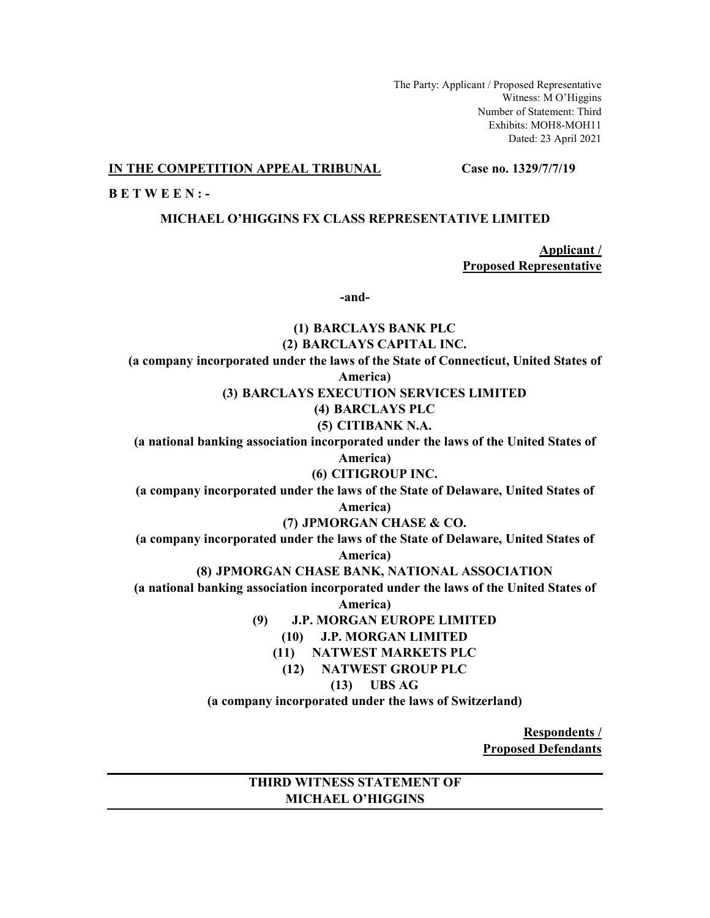The Party: Applicant / Proposed Representative Witness: M O'Higgins Number of Statement: Third Exhibits: MOH8-MOH11 Dated: 23 April 2021

### **IN THE COMPETITION APPEAL TRIBUNAL Case no. 1329/7/7/19**

**B E T W E E N : -**

## **MICHAEL O'HIGGINS FX CLASS REPRESENTATIVE LIMITED**

**Applicant / Proposed Representative**

**-and-**

**(1) BARCLAYS BANK PLC (2) BARCLAYS CAPITAL INC. (a company incorporated under the laws of the State of Connecticut, United States of America) (3) BARCLAYS EXECUTION SERVICES LIMITED (4) BARCLAYS PLC (5) CITIBANK N.A. (a national banking association incorporated under the laws of the United States of America) (6) CITIGROUP INC. (a company incorporated under the laws of the State of Delaware, United States of America) (7) JPMORGAN CHASE & CO. (a company incorporated under the laws of the State of Delaware, United States of America) (8) JPMORGAN CHASE BANK, NATIONAL ASSOCIATION (a national banking association incorporated under the laws of the United States of America) (9) J.P. MORGAN EUROPE LIMITED (10) J.P. MORGAN LIMITED (11) NATWEST MARKETS PLC (12) NATWEST GROUP PLC (13) UBS AG (a company incorporated under the laws of Switzerland)**

> **Respondents / Proposed Defendants**

# **THIRD WITNESS STATEMENT OF MICHAEL O'HIGGINS**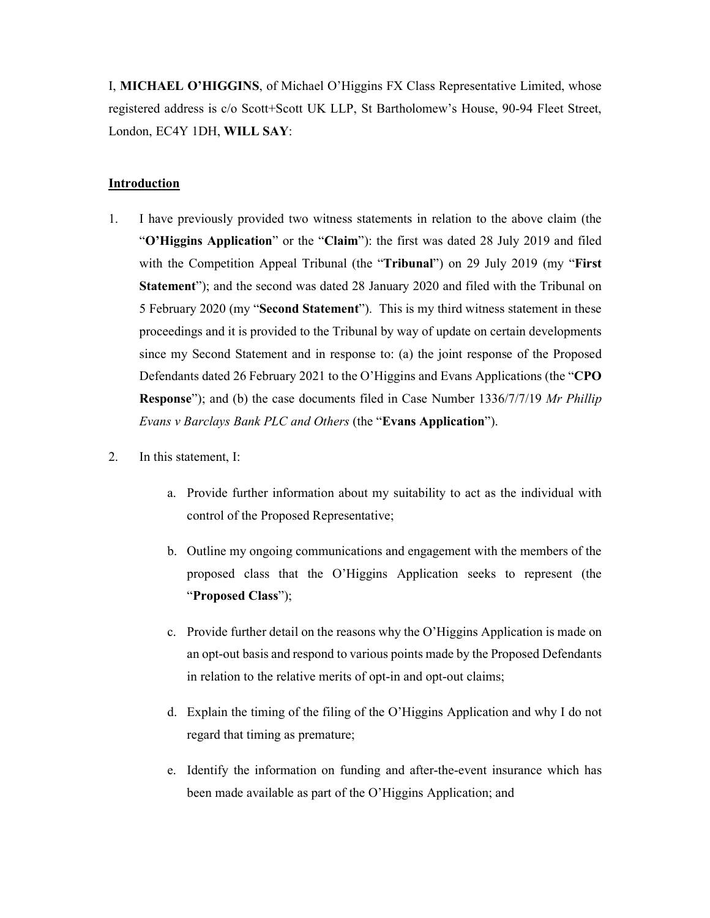I, **MICHAEL O'HIGGINS**, of Michael O'Higgins FX Class Representative Limited, whose registered address is c/o Scott+Scott UK LLP, St Bartholomew's House, 90-94 Fleet Street, London, EC4Y 1DH, **WILL SAY**:

## **Introduction**

- 1. I have previously provided two witness statements in relation to the above claim (the "**O'Higgins Application**" or the "**Claim**"): the first was dated 28 July 2019 and filed with the Competition Appeal Tribunal (the "**Tribunal**") on 29 July 2019 (my "**First Statement**"); and the second was dated 28 January 2020 and filed with the Tribunal on 5 February 2020 (my "**Second Statement**"). This is my third witness statement in these proceedings and it is provided to the Tribunal by way of update on certain developments since my Second Statement and in response to: (a) the joint response of the Proposed Defendants dated 26 February 2021 to the O'Higgins and Evans Applications (the "**CPO Response**"); and (b) the case documents filed in Case Number 1336/7/7/19 *Mr Phillip Evans v Barclays Bank PLC and Others* (the "**Evans Application**").
- 2. In this statement, I:
	- a. Provide further information about my suitability to act as the individual with control of the Proposed Representative;
	- b. Outline my ongoing communications and engagement with the members of the proposed class that the O'Higgins Application seeks to represent (the "**Proposed Class**");
	- c. Provide further detail on the reasons why the O'Higgins Application is made on an opt-out basis and respond to various points made by the Proposed Defendants in relation to the relative merits of opt-in and opt-out claims;
	- d. Explain the timing of the filing of the O'Higgins Application and why I do not regard that timing as premature;
	- e. Identify the information on funding and after-the-event insurance which has been made available as part of the O'Higgins Application; and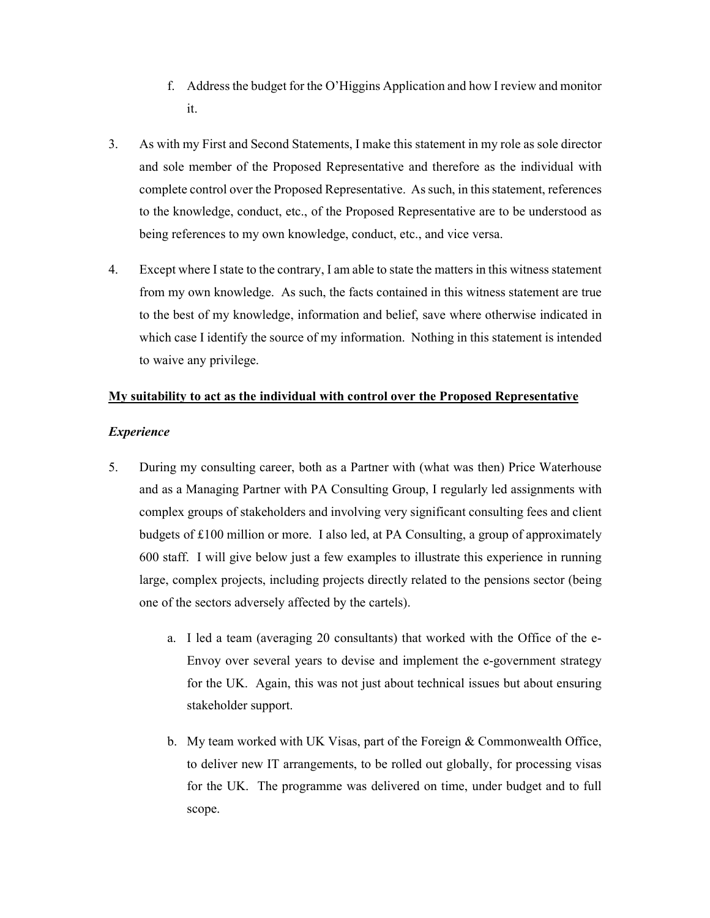- f. Address the budget for the O'Higgins Application and how I review and monitor it.
- 3. As with my First and Second Statements, I make this statement in my role as sole director and sole member of the Proposed Representative and therefore as the individual with complete control over the Proposed Representative. As such, in this statement, references to the knowledge, conduct, etc., of the Proposed Representative are to be understood as being references to my own knowledge, conduct, etc., and vice versa.
- 4. Except where I state to the contrary, I am able to state the matters in this witness statement from my own knowledge. As such, the facts contained in this witness statement are true to the best of my knowledge, information and belief, save where otherwise indicated in which case I identify the source of my information. Nothing in this statement is intended to waive any privilege.

# **My suitability to act as the individual with control over the Proposed Representative**

# *Experience*

- 5. During my consulting career, both as a Partner with (what was then) Price Waterhouse and as a Managing Partner with PA Consulting Group, I regularly led assignments with complex groups of stakeholders and involving very significant consulting fees and client budgets of £100 million or more. I also led, at PA Consulting, a group of approximately 600 staff. I will give below just a few examples to illustrate this experience in running large, complex projects, including projects directly related to the pensions sector (being one of the sectors adversely affected by the cartels).
	- a. I led a team (averaging 20 consultants) that worked with the Office of the e-Envoy over several years to devise and implement the e-government strategy for the UK. Again, this was not just about technical issues but about ensuring stakeholder support.
	- b. My team worked with UK Visas, part of the Foreign & Commonwealth Office, to deliver new IT arrangements, to be rolled out globally, for processing visas for the UK. The programme was delivered on time, under budget and to full scope.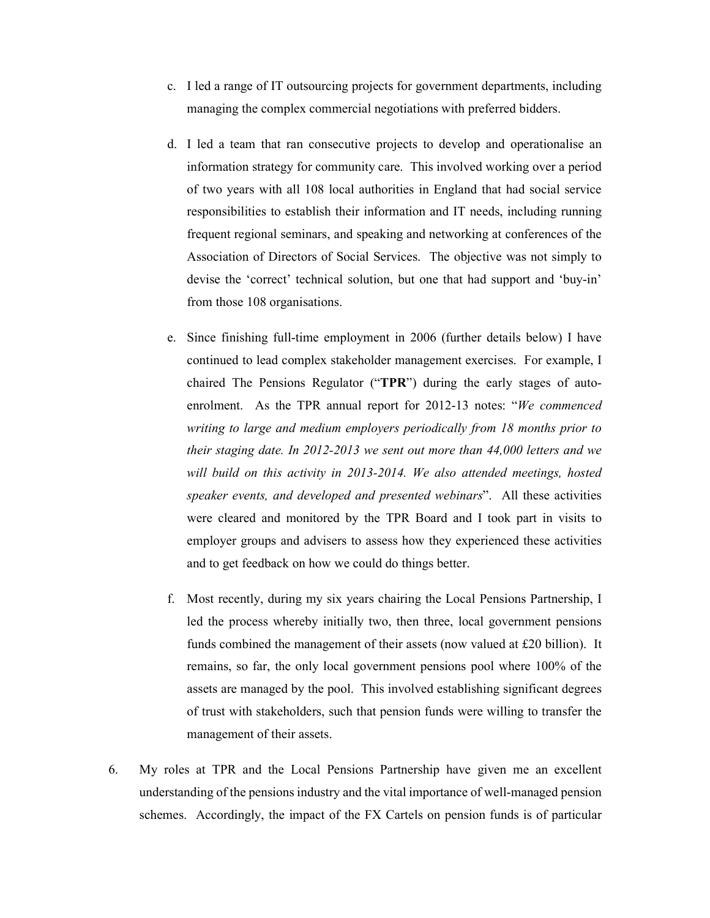- c. I led a range of IT outsourcing projects for government departments, including managing the complex commercial negotiations with preferred bidders.
- d. I led a team that ran consecutive projects to develop and operationalise an information strategy for community care. This involved working over a period of two years with all 108 local authorities in England that had social service responsibilities to establish their information and IT needs, including running frequent regional seminars, and speaking and networking at conferences of the Association of Directors of Social Services. The objective was not simply to devise the 'correct' technical solution, but one that had support and 'buy-in' from those 108 organisations.
- e. Since finishing full-time employment in 2006 (further details below) I have continued to lead complex stakeholder management exercises. For example, I chaired The Pensions Regulator ("**TPR**") during the early stages of autoenrolment. As the TPR annual report for 2012-13 notes: "*We commenced writing to large and medium employers periodically from 18 months prior to their staging date. In 2012-2013 we sent out more than 44,000 letters and we*  will build on this activity in 2013-2014. We also attended meetings, hosted *speaker events, and developed and presented webinars*".All these activities were cleared and monitored by the TPR Board and I took part in visits to employer groups and advisers to assess how they experienced these activities and to get feedback on how we could do things better.
- f. Most recently, during my six years chairing the Local Pensions Partnership, I led the process whereby initially two, then three, local government pensions funds combined the management of their assets (now valued at £20 billion). It remains, so far, the only local government pensions pool where 100% of the assets are managed by the pool. This involved establishing significant degrees of trust with stakeholders, such that pension funds were willing to transfer the management of their assets.
- 6. My roles at TPR and the Local Pensions Partnership have given me an excellent understanding of the pensions industry and the vital importance of well-managed pension schemes. Accordingly, the impact of the FX Cartels on pension funds is of particular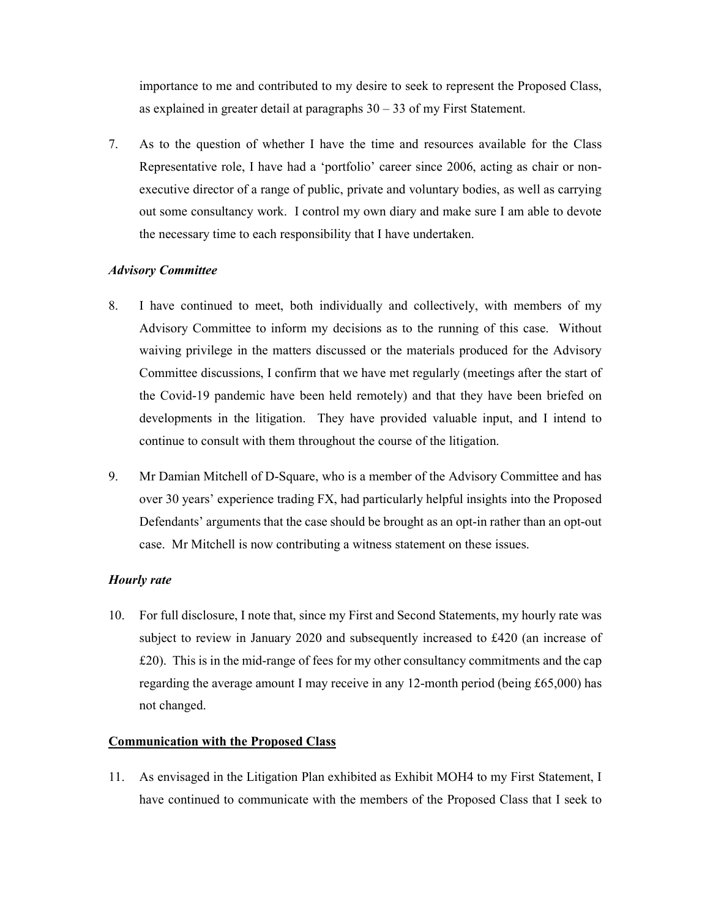importance to me and contributed to my desire to seek to represent the Proposed Class, as explained in greater detail at paragraphs  $30 - 33$  of my First Statement.

7. As to the question of whether I have the time and resources available for the Class Representative role, I have had a 'portfolio' career since 2006, acting as chair or nonexecutive director of a range of public, private and voluntary bodies, as well as carrying out some consultancy work. I control my own diary and make sure I am able to devote the necessary time to each responsibility that I have undertaken.

# *Advisory Committee*

- 8. I have continued to meet, both individually and collectively, with members of my Advisory Committee to inform my decisions as to the running of this case. Without waiving privilege in the matters discussed or the materials produced for the Advisory Committee discussions, I confirm that we have met regularly (meetings after the start of the Covid-19 pandemic have been held remotely) and that they have been briefed on developments in the litigation. They have provided valuable input, and I intend to continue to consult with them throughout the course of the litigation.
- 9. Mr Damian Mitchell of D-Square, who is a member of the Advisory Committee and has over 30 years' experience trading FX, had particularly helpful insights into the Proposed Defendants' arguments that the case should be brought as an opt-in rather than an opt-out case. Mr Mitchell is now contributing a witness statement on these issues.

# *Hourly rate*

10. For full disclosure, I note that, since my First and Second Statements, my hourly rate was subject to review in January 2020 and subsequently increased to £420 (an increase of £20). This is in the mid-range of fees for my other consultancy commitments and the cap regarding the average amount I may receive in any 12-month period (being £65,000) has not changed.

# **Communication with the Proposed Class**

11. As envisaged in the Litigation Plan exhibited as Exhibit MOH4 to my First Statement, I have continued to communicate with the members of the Proposed Class that I seek to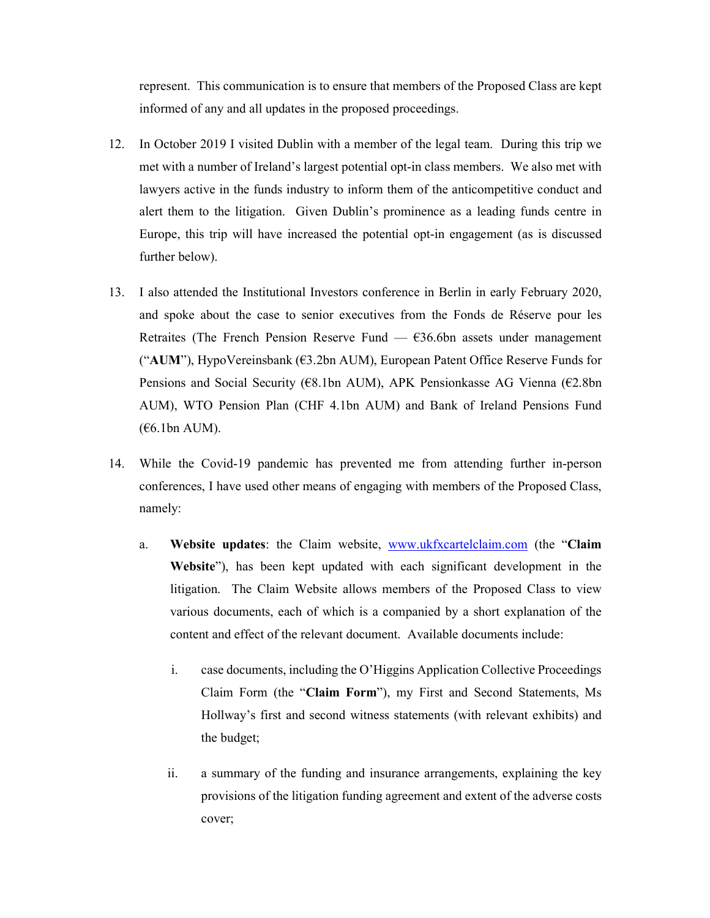represent. This communication is to ensure that members of the Proposed Class are kept informed of any and all updates in the proposed proceedings.

- 12. In October 2019 I visited Dublin with a member of the legal team. During this trip we met with a number of Ireland's largest potential opt-in class members. We also met with lawyers active in the funds industry to inform them of the anticompetitive conduct and alert them to the litigation. Given Dublin's prominence as a leading funds centre in Europe, this trip will have increased the potential opt-in engagement (as is discussed further below).
- 13. I also attended the Institutional Investors conference in Berlin in early February 2020, and spoke about the case to senior executives from the Fonds de Réserve pour les Retraites (The French Pension Reserve Fund  $-$  €36.6bn assets under management ("**AUM**"), HypoVereinsbank (€3.2bn AUM), European Patent Office Reserve Funds for Pensions and Social Security (€8.1bn AUM), APK Pensionkasse AG Vienna (€2.8bn AUM), WTO Pension Plan (CHF 4.1bn AUM) and Bank of Ireland Pensions Fund (€6.1bn AUM).
- 14. While the Covid-19 pandemic has prevented me from attending further in-person conferences, I have used other means of engaging with members of the Proposed Class, namely:
	- a. **Website updates**: the Claim website, www.ukfxcartelclaim.com (the "**Claim Website**"), has been kept updated with each significant development in the litigation. The Claim Website allows members of the Proposed Class to view various documents, each of which is a companied by a short explanation of the content and effect of the relevant document. Available documents include:
		- i. case documents, including the O'Higgins Application Collective Proceedings Claim Form (the "**Claim Form**"), my First and Second Statements, Ms Hollway's first and second witness statements (with relevant exhibits) and the budget;
		- ii. a summary of the funding and insurance arrangements, explaining the key provisions of the litigation funding agreement and extent of the adverse costs cover;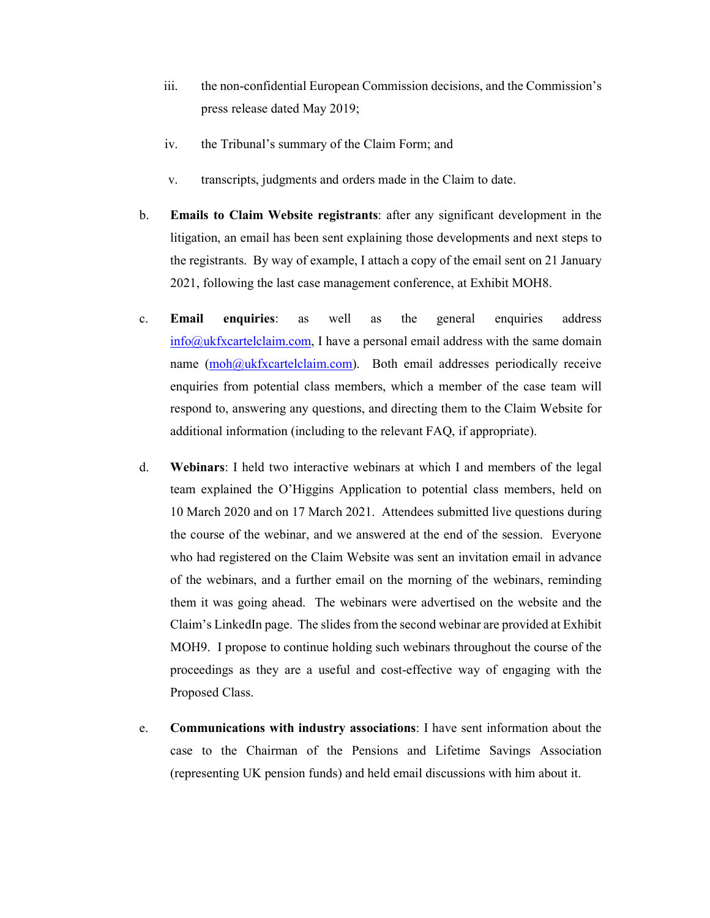- iii. the non-confidential European Commission decisions, and the Commission's press release dated May 2019;
- iv. the Tribunal's summary of the Claim Form; and
- v. transcripts, judgments and orders made in the Claim to date.
- b. **Emails to Claim Website registrants**: after any significant development in the litigation, an email has been sent explaining those developments and next steps to the registrants. By way of example, I attach a copy of the email sent on 21 January 2021, following the last case management conference, at Exhibit MOH8.
- c. **Email enquiries**: as well as the general enquiries address info@ukfxcartelclaim.com, I have a personal email address with the same domain name (moh@ukfxcartelclaim.com). Both email addresses periodically receive enquiries from potential class members, which a member of the case team will respond to, answering any questions, and directing them to the Claim Website for additional information (including to the relevant FAQ, if appropriate).
- d. **Webinars**: I held two interactive webinars at which I and members of the legal team explained the O'Higgins Application to potential class members, held on 10 March 2020 and on 17 March 2021. Attendees submitted live questions during the course of the webinar, and we answered at the end of the session. Everyone who had registered on the Claim Website was sent an invitation email in advance of the webinars, and a further email on the morning of the webinars, reminding them it was going ahead. The webinars were advertised on the website and the Claim's LinkedIn page. The slides from the second webinar are provided at Exhibit MOH9. I propose to continue holding such webinars throughout the course of the proceedings as they are a useful and cost-effective way of engaging with the Proposed Class.
- e. **Communications with industry associations**: I have sent information about the case to the Chairman of the Pensions and Lifetime Savings Association (representing UK pension funds) and held email discussions with him about it.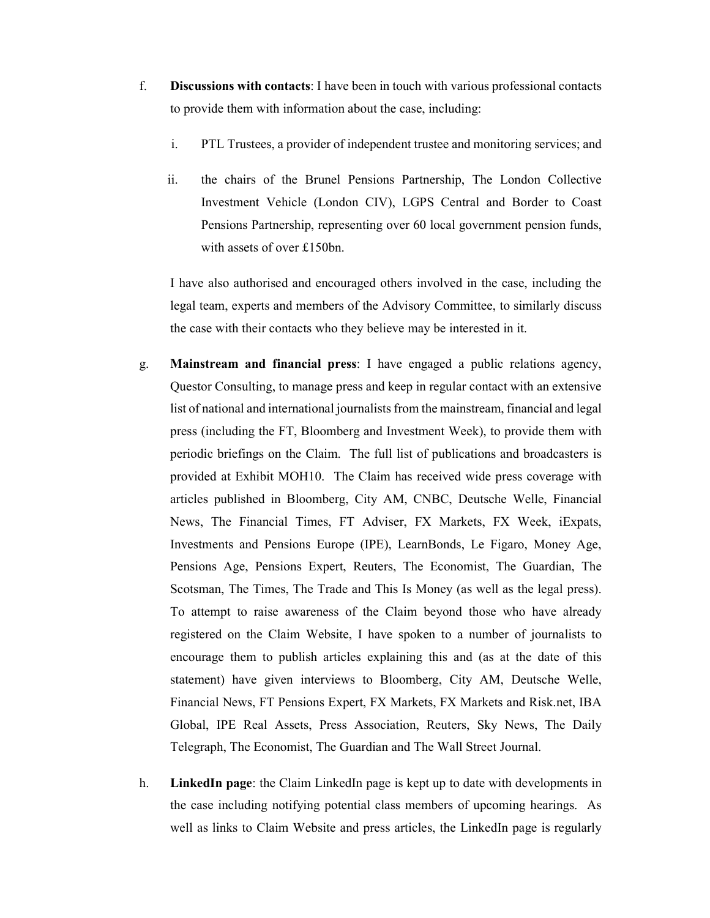- f. **Discussions with contacts**: I have been in touch with various professional contacts to provide them with information about the case, including:
	- i. PTL Trustees, a provider of independent trustee and monitoring services; and
	- ii. the chairs of the Brunel Pensions Partnership, The London Collective Investment Vehicle (London CIV), LGPS Central and Border to Coast Pensions Partnership, representing over 60 local government pension funds, with assets of over £150bn.

I have also authorised and encouraged others involved in the case, including the legal team, experts and members of the Advisory Committee, to similarly discuss the case with their contacts who they believe may be interested in it.

- g. **Mainstream and financial press**: I have engaged a public relations agency, Questor Consulting, to manage press and keep in regular contact with an extensive list of national and international journalists from the mainstream, financial and legal press (including the FT, Bloomberg and Investment Week), to provide them with periodic briefings on the Claim. The full list of publications and broadcasters is provided at Exhibit MOH10. The Claim has received wide press coverage with articles published in Bloomberg, City AM, CNBC, Deutsche Welle, Financial News, The Financial Times, FT Adviser, FX Markets, FX Week, iExpats, Investments and Pensions Europe (IPE), LearnBonds, Le Figaro, Money Age, Pensions Age, Pensions Expert, Reuters, The Economist, The Guardian, The Scotsman, The Times, The Trade and This Is Money (as well as the legal press). To attempt to raise awareness of the Claim beyond those who have already registered on the Claim Website, I have spoken to a number of journalists to encourage them to publish articles explaining this and (as at the date of this statement) have given interviews to Bloomberg, City AM, Deutsche Welle, Financial News, FT Pensions Expert, FX Markets, FX Markets and Risk.net, IBA Global, IPE Real Assets, Press Association, Reuters, Sky News, The Daily Telegraph, The Economist, The Guardian and The Wall Street Journal.
- h. **LinkedIn page**: the Claim LinkedIn page is kept up to date with developments in the case including notifying potential class members of upcoming hearings. As well as links to Claim Website and press articles, the LinkedIn page is regularly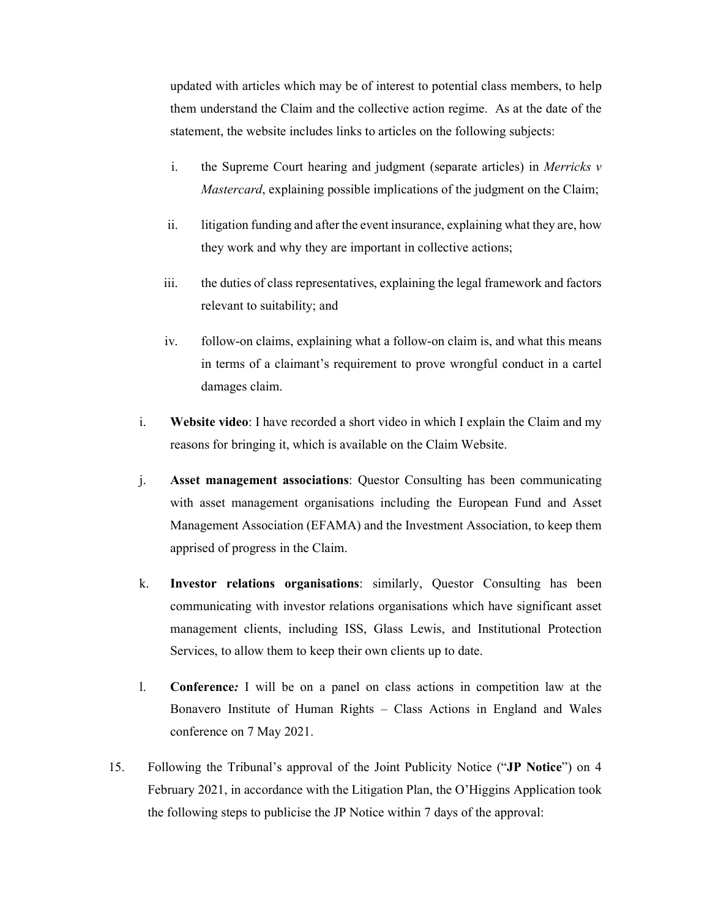updated with articles which may be of interest to potential class members, to help them understand the Claim and the collective action regime. As at the date of the statement, the website includes links to articles on the following subjects:

- i. the Supreme Court hearing and judgment (separate articles) in *Merricks v Mastercard*, explaining possible implications of the judgment on the Claim;
- ii. litigation funding and after the event insurance, explaining what they are, how they work and why they are important in collective actions;
- iii. the duties of class representatives, explaining the legal framework and factors relevant to suitability; and
- iv. follow-on claims, explaining what a follow-on claim is, and what this means in terms of a claimant's requirement to prove wrongful conduct in a cartel damages claim.
- i. **Website video**: I have recorded a short video in which I explain the Claim and my reasons for bringing it, which is available on the Claim Website.
- j. **Asset management associations**: Questor Consulting has been communicating with asset management organisations including the European Fund and Asset Management Association (EFAMA) and the Investment Association, to keep them apprised of progress in the Claim.
- k. **Investor relations organisations**: similarly, Questor Consulting has been communicating with investor relations organisations which have significant asset management clients, including ISS, Glass Lewis, and Institutional Protection Services, to allow them to keep their own clients up to date.
- l. **Conference***:* I will be on a panel on class actions in competition law at the Bonavero Institute of Human Rights – Class Actions in England and Wales conference on 7 May 2021.
- 15. Following the Tribunal's approval of the Joint Publicity Notice ("**JP Notice**") on 4 February 2021, in accordance with the Litigation Plan, the O'Higgins Application took the following steps to publicise the JP Notice within 7 days of the approval: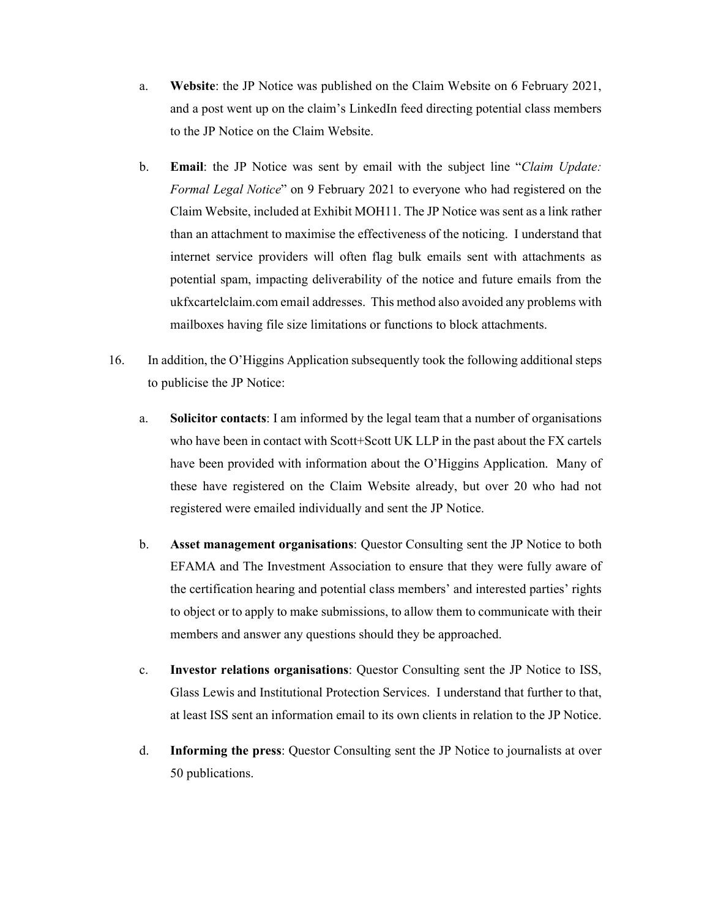- a. **Website**: the JP Notice was published on the Claim Website on 6 February 2021, and a post went up on the claim's LinkedIn feed directing potential class members to the JP Notice on the Claim Website.
- b. **Email**: the JP Notice was sent by email with the subject line "*Claim Update: Formal Legal Notice*" on 9 February 2021 to everyone who had registered on the Claim Website, included at Exhibit MOH11. The JP Notice was sent as a link rather than an attachment to maximise the effectiveness of the noticing. I understand that internet service providers will often flag bulk emails sent with attachments as potential spam, impacting deliverability of the notice and future emails from the ukfxcartelclaim.com email addresses. This method also avoided any problems with mailboxes having file size limitations or functions to block attachments.
- 16. In addition, the O'Higgins Application subsequently took the following additional steps to publicise the JP Notice:
	- a. **Solicitor contacts**: I am informed by the legal team that a number of organisations who have been in contact with Scott+Scott UK LLP in the past about the FX cartels have been provided with information about the O'Higgins Application. Many of these have registered on the Claim Website already, but over 20 who had not registered were emailed individually and sent the JP Notice.
	- b. **Asset management organisations**: Questor Consulting sent the JP Notice to both EFAMA and The Investment Association to ensure that they were fully aware of the certification hearing and potential class members' and interested parties' rights to object or to apply to make submissions, to allow them to communicate with their members and answer any questions should they be approached.
	- c. **Investor relations organisations**: Questor Consulting sent the JP Notice to ISS, Glass Lewis and Institutional Protection Services. I understand that further to that, at least ISS sent an information email to its own clients in relation to the JP Notice.
	- d. **Informing the press**: Questor Consulting sent the JP Notice to journalists at over 50 publications.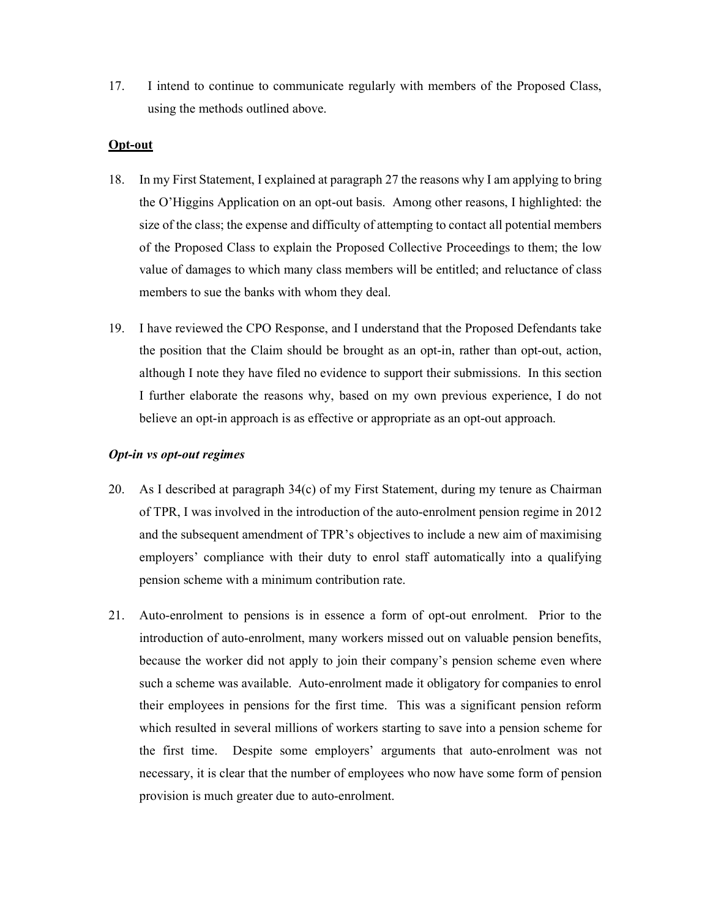17. I intend to continue to communicate regularly with members of the Proposed Class, using the methods outlined above.

## **Opt-out**

- 18. In my First Statement, I explained at paragraph 27 the reasons why I am applying to bring the O'Higgins Application on an opt-out basis. Among other reasons, I highlighted: the size of the class; the expense and difficulty of attempting to contact all potential members of the Proposed Class to explain the Proposed Collective Proceedings to them; the low value of damages to which many class members will be entitled; and reluctance of class members to sue the banks with whom they deal.
- 19. I have reviewed the CPO Response, and I understand that the Proposed Defendants take the position that the Claim should be brought as an opt-in, rather than opt-out, action, although I note they have filed no evidence to support their submissions. In this section I further elaborate the reasons why, based on my own previous experience, I do not believe an opt-in approach is as effective or appropriate as an opt-out approach.

# *Opt-in vs opt-out regimes*

- 20. As I described at paragraph 34(c) of my First Statement, during my tenure as Chairman of TPR, I was involved in the introduction of the auto-enrolment pension regime in 2012 and the subsequent amendment of TPR's objectives to include a new aim of maximising employers' compliance with their duty to enrol staff automatically into a qualifying pension scheme with a minimum contribution rate.
- 21. Auto-enrolment to pensions is in essence a form of opt-out enrolment. Prior to the introduction of auto-enrolment, many workers missed out on valuable pension benefits, because the worker did not apply to join their company's pension scheme even where such a scheme was available. Auto-enrolment made it obligatory for companies to enrol their employees in pensions for the first time. This was a significant pension reform which resulted in several millions of workers starting to save into a pension scheme for the first time. Despite some employers' arguments that auto-enrolment was not necessary, it is clear that the number of employees who now have some form of pension provision is much greater due to auto-enrolment.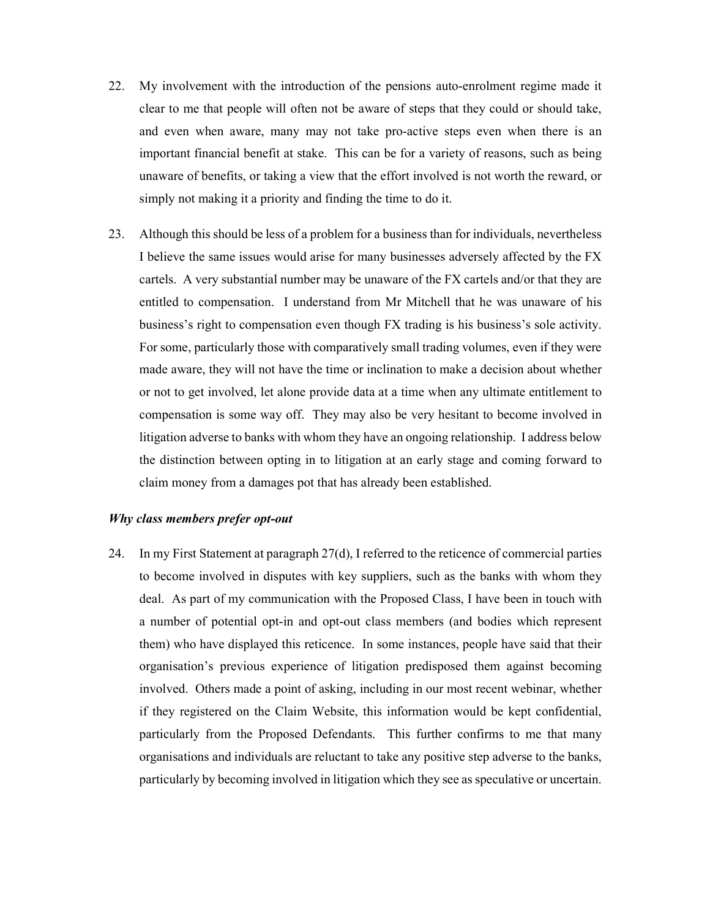- 22. My involvement with the introduction of the pensions auto-enrolment regime made it clear to me that people will often not be aware of steps that they could or should take, and even when aware, many may not take pro-active steps even when there is an important financial benefit at stake. This can be for a variety of reasons, such as being unaware of benefits, or taking a view that the effort involved is not worth the reward, or simply not making it a priority and finding the time to do it.
- 23. Although this should be less of a problem for a business than for individuals, nevertheless I believe the same issues would arise for many businesses adversely affected by the FX cartels. A very substantial number may be unaware of the FX cartels and/or that they are entitled to compensation. I understand from Mr Mitchell that he was unaware of his business's right to compensation even though FX trading is his business's sole activity. For some, particularly those with comparatively small trading volumes, even if they were made aware, they will not have the time or inclination to make a decision about whether or not to get involved, let alone provide data at a time when any ultimate entitlement to compensation is some way off. They may also be very hesitant to become involved in litigation adverse to banks with whom they have an ongoing relationship. I address below the distinction between opting in to litigation at an early stage and coming forward to claim money from a damages pot that has already been established.

# *Why class members prefer opt-out*

24. In my First Statement at paragraph 27(d), I referred to the reticence of commercial parties to become involved in disputes with key suppliers, such as the banks with whom they deal. As part of my communication with the Proposed Class, I have been in touch with a number of potential opt-in and opt-out class members (and bodies which represent them) who have displayed this reticence. In some instances, people have said that their organisation's previous experience of litigation predisposed them against becoming involved. Others made a point of asking, including in our most recent webinar, whether if they registered on the Claim Website, this information would be kept confidential, particularly from the Proposed Defendants. This further confirms to me that many organisations and individuals are reluctant to take any positive step adverse to the banks, particularly by becoming involved in litigation which they see as speculative or uncertain.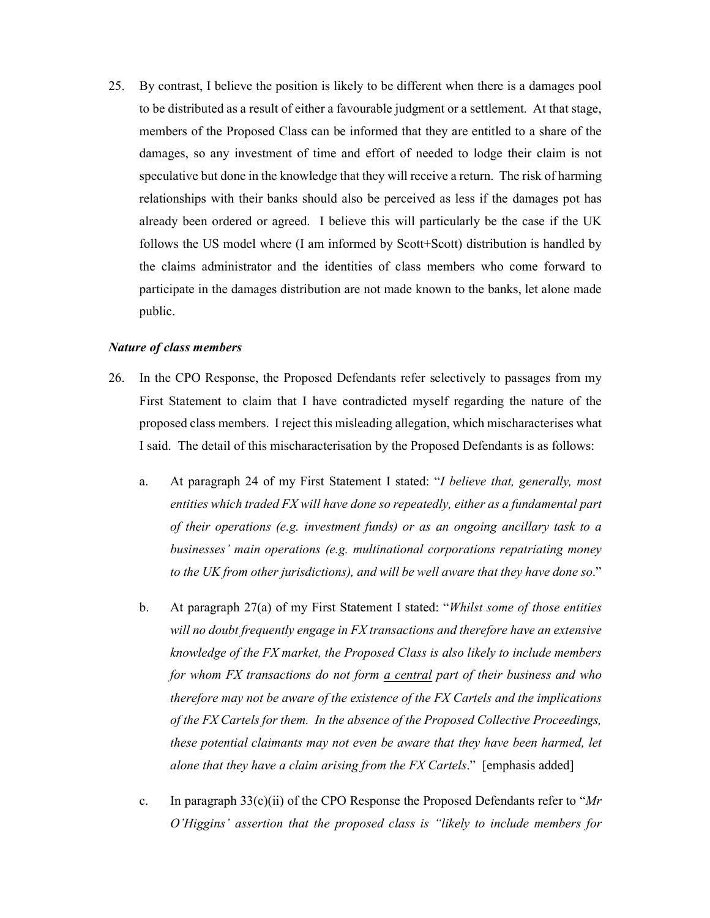25. By contrast, I believe the position is likely to be different when there is a damages pool to be distributed as a result of either a favourable judgment or a settlement. At that stage, members of the Proposed Class can be informed that they are entitled to a share of the damages, so any investment of time and effort of needed to lodge their claim is not speculative but done in the knowledge that they will receive a return. The risk of harming relationships with their banks should also be perceived as less if the damages pot has already been ordered or agreed. I believe this will particularly be the case if the UK follows the US model where (I am informed by Scott+Scott) distribution is handled by the claims administrator and the identities of class members who come forward to participate in the damages distribution are not made known to the banks, let alone made public.

#### *Nature of class members*

- 26. In the CPO Response, the Proposed Defendants refer selectively to passages from my First Statement to claim that I have contradicted myself regarding the nature of the proposed class members. I reject this misleading allegation, which mischaracterises what I said. The detail of this mischaracterisation by the Proposed Defendants is as follows:
	- a. At paragraph 24 of my First Statement I stated: "*I believe that, generally, most entities which traded FX will have done so repeatedly, either as a fundamental part of their operations (e.g. investment funds) or as an ongoing ancillary task to a businesses' main operations (e.g. multinational corporations repatriating money to the UK from other jurisdictions), and will be well aware that they have done so*."
	- b. At paragraph 27(a) of my First Statement I stated: "*Whilst some of those entities will no doubt frequently engage in FX transactions and therefore have an extensive knowledge of the FX market, the Proposed Class is also likely to include members for whom FX transactions do not form a central part of their business and who therefore may not be aware of the existence of the FX Cartels and the implications of the FX Cartels for them. In the absence of the Proposed Collective Proceedings, these potential claimants may not even be aware that they have been harmed, let alone that they have a claim arising from the FX Cartels*." [emphasis added]
	- c. In paragraph 33(c)(ii) of the CPO Response the Proposed Defendants refer to "*Mr O'Higgins' assertion that the proposed class is "likely to include members for*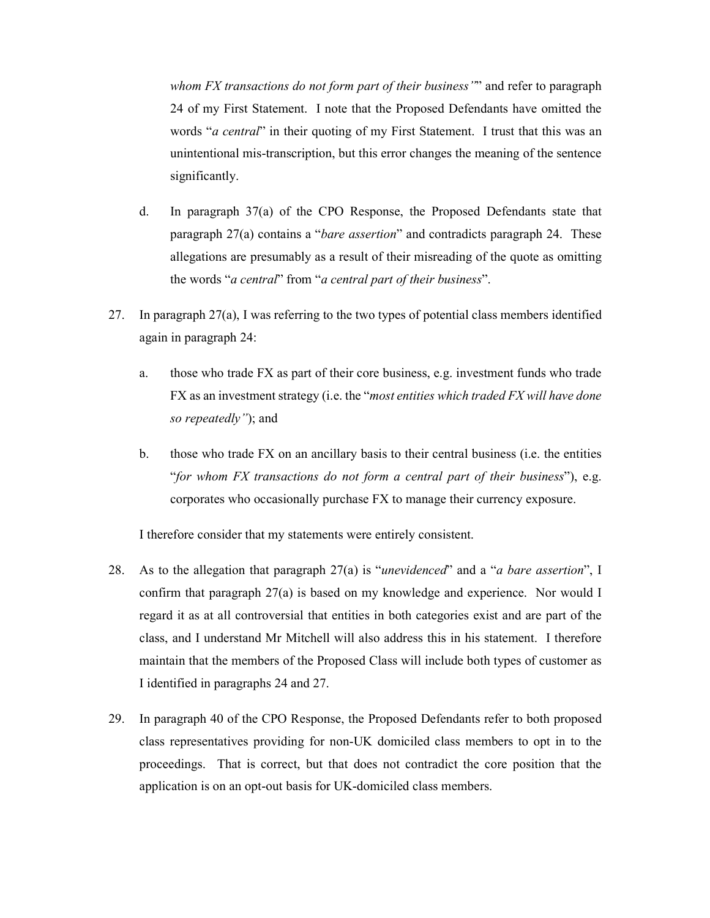*whom FX transactions do not form part of their business"*" and refer to paragraph 24 of my First Statement. I note that the Proposed Defendants have omitted the words "*a central*" in their quoting of my First Statement. I trust that this was an unintentional mis-transcription, but this error changes the meaning of the sentence significantly.

- d. In paragraph 37(a) of the CPO Response, the Proposed Defendants state that paragraph 27(a) contains a "*bare assertion*" and contradicts paragraph 24. These allegations are presumably as a result of their misreading of the quote as omitting the words "*a central*" from "*a central part of their business*".
- 27. In paragraph 27(a), I was referring to the two types of potential class members identified again in paragraph 24:
	- a. those who trade FX as part of their core business, e.g. investment funds who trade FX as an investment strategy (i.e. the "*most entities which traded FX will have done so repeatedly"*); and
	- b. those who trade FX on an ancillary basis to their central business (i.e. the entities "*for whom FX transactions do not form a central part of their business*"), e.g. corporates who occasionally purchase FX to manage their currency exposure.

I therefore consider that my statements were entirely consistent.

- 28. As to the allegation that paragraph 27(a) is "*unevidenced*" and a "*a bare assertion*", I confirm that paragraph 27(a) is based on my knowledge and experience. Nor would I regard it as at all controversial that entities in both categories exist and are part of the class, and I understand Mr Mitchell will also address this in his statement. I therefore maintain that the members of the Proposed Class will include both types of customer as I identified in paragraphs 24 and 27.
- 29. In paragraph 40 of the CPO Response, the Proposed Defendants refer to both proposed class representatives providing for non-UK domiciled class members to opt in to the proceedings. That is correct, but that does not contradict the core position that the application is on an opt-out basis for UK-domiciled class members.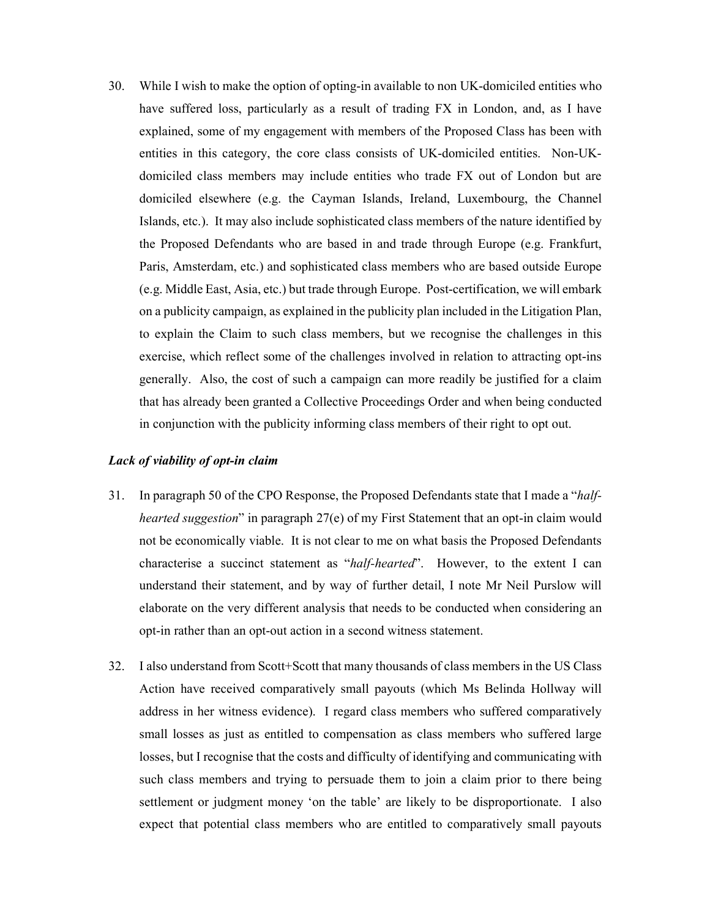30. While I wish to make the option of opting-in available to non UK-domiciled entities who have suffered loss, particularly as a result of trading FX in London, and, as I have explained, some of my engagement with members of the Proposed Class has been with entities in this category, the core class consists of UK-domiciled entities. Non-UKdomiciled class members may include entities who trade FX out of London but are domiciled elsewhere (e.g. the Cayman Islands, Ireland, Luxembourg, the Channel Islands, etc.). It may also include sophisticated class members of the nature identified by the Proposed Defendants who are based in and trade through Europe (e.g. Frankfurt, Paris, Amsterdam, etc.) and sophisticated class members who are based outside Europe (e.g. Middle East, Asia, etc.) but trade through Europe. Post-certification, we will embark on a publicity campaign, as explained in the publicity plan included in the Litigation Plan, to explain the Claim to such class members, but we recognise the challenges in this exercise, which reflect some of the challenges involved in relation to attracting opt-ins generally. Also, the cost of such a campaign can more readily be justified for a claim that has already been granted a Collective Proceedings Order and when being conducted in conjunction with the publicity informing class members of their right to opt out.

### *Lack of viability of opt-in claim*

- 31. In paragraph 50 of the CPO Response, the Proposed Defendants state that I made a "*halfhearted suggestion*" in paragraph 27(e) of my First Statement that an opt-in claim would not be economically viable. It is not clear to me on what basis the Proposed Defendants characterise a succinct statement as "*half-hearted*". However, to the extent I can understand their statement, and by way of further detail, I note Mr Neil Purslow will elaborate on the very different analysis that needs to be conducted when considering an opt-in rather than an opt-out action in a second witness statement.
- 32. I also understand from Scott+Scott that many thousands of class members in the US Class Action have received comparatively small payouts (which Ms Belinda Hollway will address in her witness evidence). I regard class members who suffered comparatively small losses as just as entitled to compensation as class members who suffered large losses, but I recognise that the costs and difficulty of identifying and communicating with such class members and trying to persuade them to join a claim prior to there being settlement or judgment money 'on the table' are likely to be disproportionate. I also expect that potential class members who are entitled to comparatively small payouts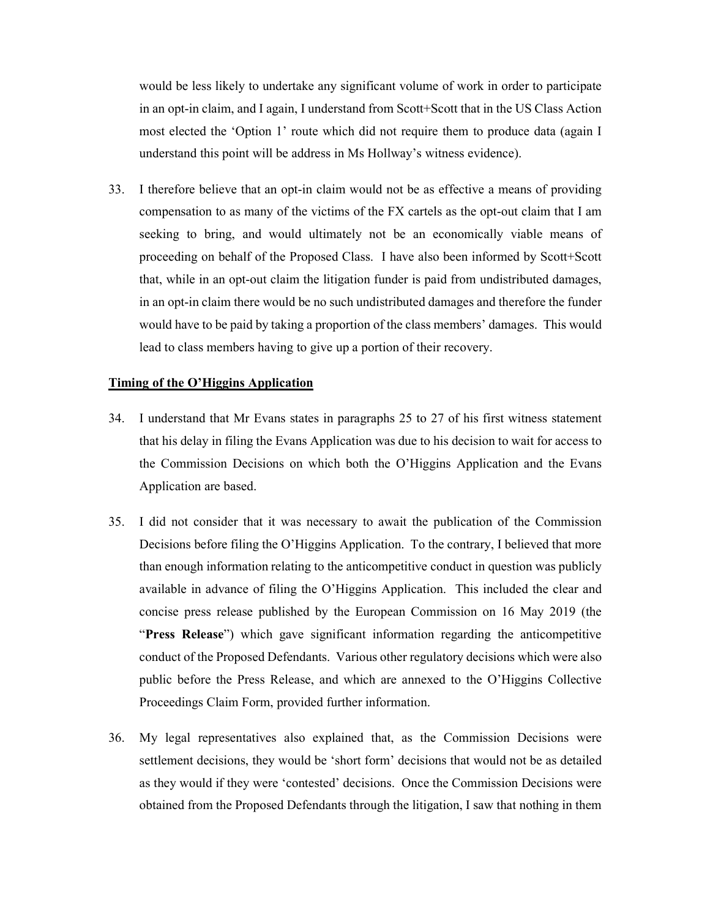would be less likely to undertake any significant volume of work in order to participate in an opt-in claim, and I again, I understand from Scott+Scott that in the US Class Action most elected the 'Option 1' route which did not require them to produce data (again I understand this point will be address in Ms Hollway's witness evidence).

33. I therefore believe that an opt-in claim would not be as effective a means of providing compensation to as many of the victims of the FX cartels as the opt-out claim that I am seeking to bring, and would ultimately not be an economically viable means of proceeding on behalf of the Proposed Class. I have also been informed by Scott+Scott that, while in an opt-out claim the litigation funder is paid from undistributed damages, in an opt-in claim there would be no such undistributed damages and therefore the funder would have to be paid by taking a proportion of the class members' damages. This would lead to class members having to give up a portion of their recovery.

# **Timing of the O'Higgins Application**

- 34. I understand that Mr Evans states in paragraphs 25 to 27 of his first witness statement that his delay in filing the Evans Application was due to his decision to wait for access to the Commission Decisions on which both the O'Higgins Application and the Evans Application are based.
- 35. I did not consider that it was necessary to await the publication of the Commission Decisions before filing the O'Higgins Application. To the contrary, I believed that more than enough information relating to the anticompetitive conduct in question was publicly available in advance of filing the O'Higgins Application. This included the clear and concise press release published by the European Commission on 16 May 2019 (the "**Press Release**") which gave significant information regarding the anticompetitive conduct of the Proposed Defendants. Various other regulatory decisions which were also public before the Press Release, and which are annexed to the O'Higgins Collective Proceedings Claim Form, provided further information.
- 36. My legal representatives also explained that, as the Commission Decisions were settlement decisions, they would be 'short form' decisions that would not be as detailed as they would if they were 'contested' decisions. Once the Commission Decisions were obtained from the Proposed Defendants through the litigation, I saw that nothing in them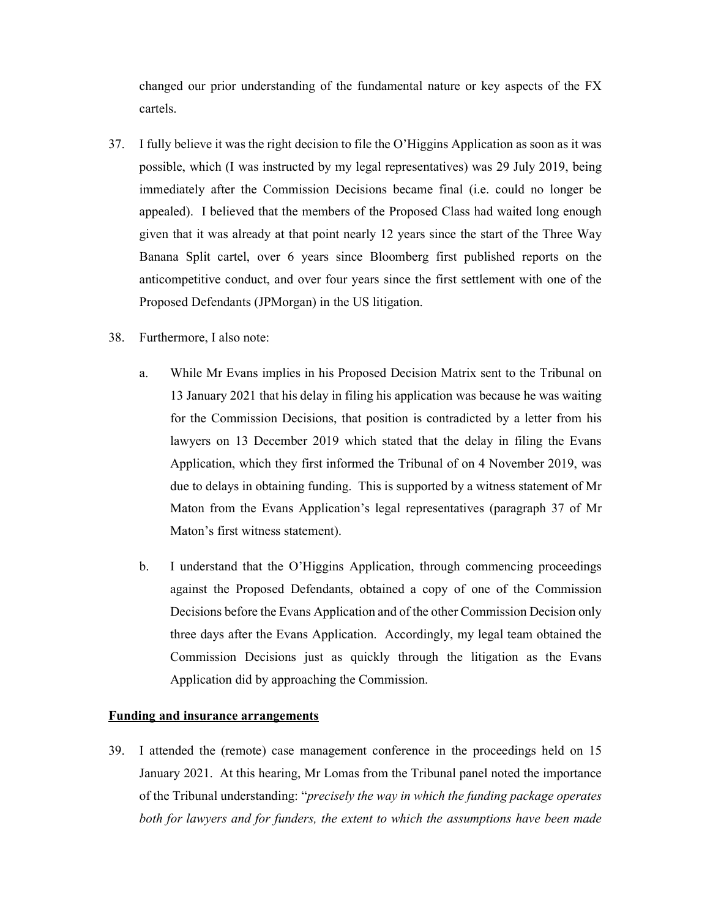changed our prior understanding of the fundamental nature or key aspects of the FX cartels.

- 37. I fully believe it was the right decision to file the O'Higgins Application as soon as it was possible, which (I was instructed by my legal representatives) was 29 July 2019, being immediately after the Commission Decisions became final (i.e. could no longer be appealed). I believed that the members of the Proposed Class had waited long enough given that it was already at that point nearly 12 years since the start of the Three Way Banana Split cartel, over 6 years since Bloomberg first published reports on the anticompetitive conduct, and over four years since the first settlement with one of the Proposed Defendants (JPMorgan) in the US litigation.
- 38. Furthermore, I also note:
	- a. While Mr Evans implies in his Proposed Decision Matrix sent to the Tribunal on 13 January 2021 that his delay in filing his application was because he was waiting for the Commission Decisions, that position is contradicted by a letter from his lawyers on 13 December 2019 which stated that the delay in filing the Evans Application, which they first informed the Tribunal of on 4 November 2019, was due to delays in obtaining funding. This is supported by a witness statement of Mr Maton from the Evans Application's legal representatives (paragraph 37 of Mr Maton's first witness statement).
	- b. I understand that the O'Higgins Application, through commencing proceedings against the Proposed Defendants, obtained a copy of one of the Commission Decisions before the Evans Application and of the other Commission Decision only three days after the Evans Application. Accordingly, my legal team obtained the Commission Decisions just as quickly through the litigation as the Evans Application did by approaching the Commission.

### **Funding and insurance arrangements**

39. I attended the (remote) case management conference in the proceedings held on 15 January 2021. At this hearing, Mr Lomas from the Tribunal panel noted the importance of the Tribunal understanding: "*precisely the way in which the funding package operates both for lawyers and for funders, the extent to which the assumptions have been made*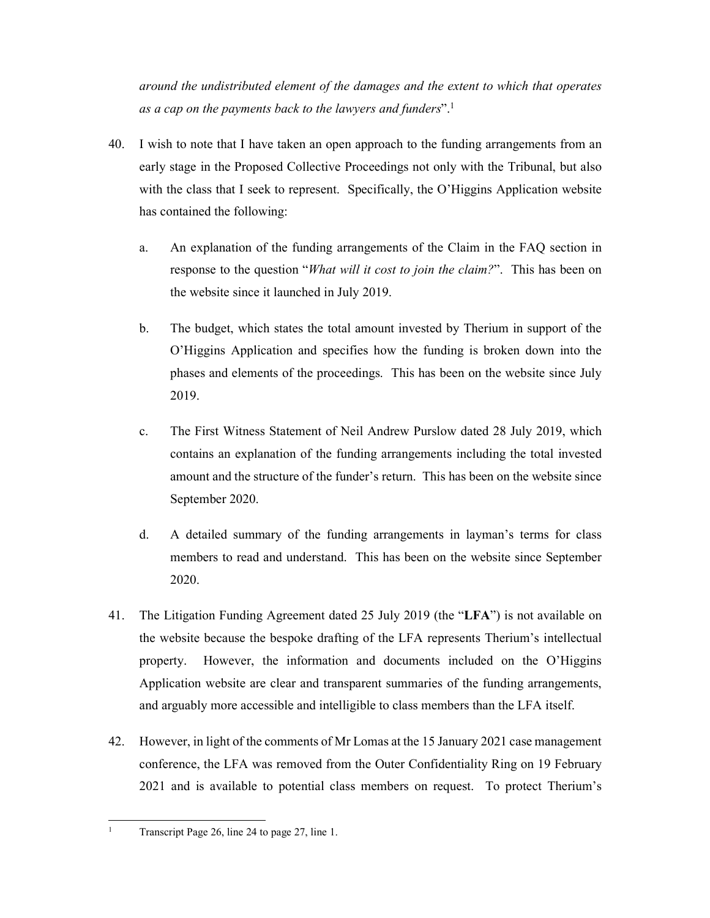*around the undistributed element of the damages and the extent to which that operates as a cap on the payments back to the lawyers and funders*".1

- 40. I wish to note that I have taken an open approach to the funding arrangements from an early stage in the Proposed Collective Proceedings not only with the Tribunal, but also with the class that I seek to represent. Specifically, the O'Higgins Application website has contained the following:
	- a. An explanation of the funding arrangements of the Claim in the FAQ section in response to the question "*What will it cost to join the claim?*". This has been on the website since it launched in July 2019.
	- b. The budget, which states the total amount invested by Therium in support of the O'Higgins Application and specifies how the funding is broken down into the phases and elements of the proceedings. This has been on the website since July 2019.
	- c. The First Witness Statement of Neil Andrew Purslow dated 28 July 2019, which contains an explanation of the funding arrangements including the total invested amount and the structure of the funder's return. This has been on the website since September 2020.
	- d. A detailed summary of the funding arrangements in layman's terms for class members to read and understand. This has been on the website since September 2020.
- 41. The Litigation Funding Agreement dated 25 July 2019 (the "**LFA**") is not available on the website because the bespoke drafting of the LFA represents Therium's intellectual property. However, the information and documents included on the O'Higgins Application website are clear and transparent summaries of the funding arrangements, and arguably more accessible and intelligible to class members than the LFA itself.
- 42. However, in light of the comments of Mr Lomas at the 15 January 2021 case management conference, the LFA was removed from the Outer Confidentiality Ring on 19 February 2021 and is available to potential class members on request. To protect Therium's
- <u>.</u> 1 Transcript Page 26, line 24 to page 27, line 1.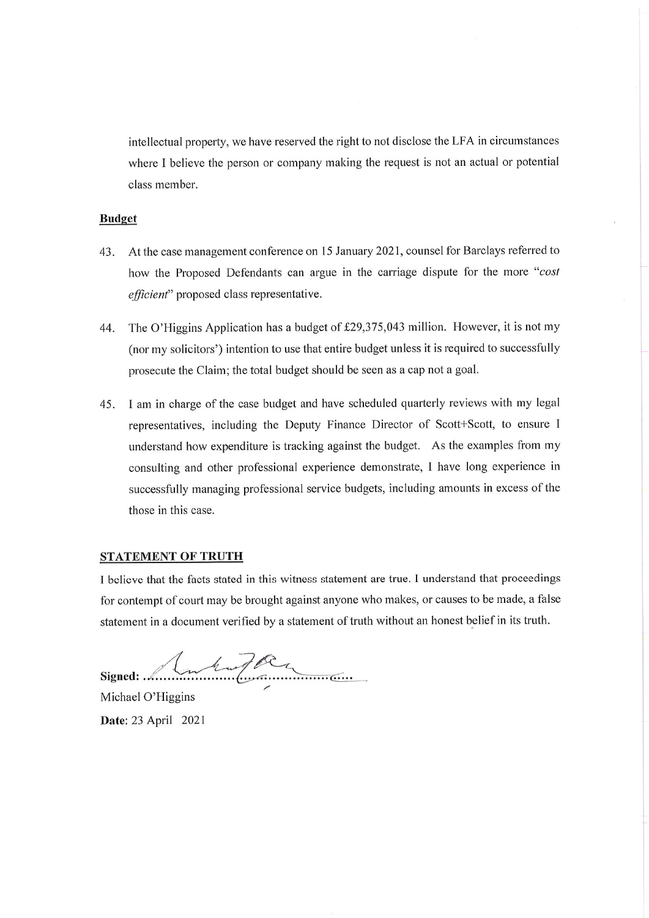intellectual property, we have reserved the right to not disclose the LFA in circumstances where I believe the person or company making the request is not an actual or potential class member.

### **Budget**

- At the case management conference on 15 January 2021, counsel for Barclays referred to 43. how the Proposed Defendants can argue in the carriage dispute for the more "cost *efficient*" proposed class representative.
- The O'Higgins Application has a budget of £29,375,043 million. However, it is not my 44. (nor my solicitors') intention to use that entire budget unless it is required to successfully prosecute the Claim; the total budget should be seen as a cap not a goal.
- I am in charge of the case budget and have scheduled quarterly reviews with my legal 45. representatives, including the Deputy Finance Director of Scott+Scott, to ensure I understand how expenditure is tracking against the budget. As the examples from my consulting and other professional experience demonstrate, I have long experience in successfully managing professional service budgets, including amounts in excess of the those in this case.

# **STATEMENT OF TRUTH**

I believe that the facts stated in this witness statement are true. I understand that proceedings for contempt of court may be brought against anyone who makes, or causes to be made, a false statement in a document verified by a statement of truth without an honest belief in its truth.

Luburger Signed:  $\ldots$ 

Michael O'Higgins Date: 23 April 2021